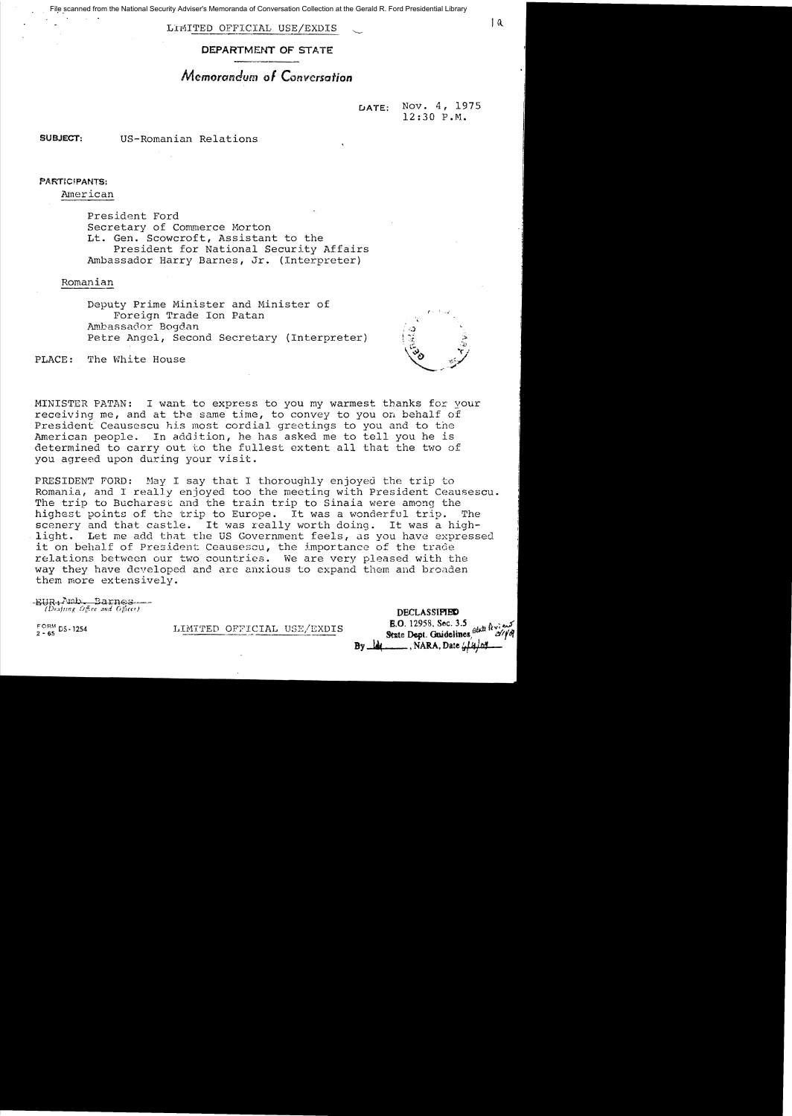File scanned from the National Security Adviser's Memoranda of Conversation Collection at the Gerald R. Ford Presidential Library

LIMITED OFFICIAL USE/EXDIS (10)

DEPARTMENT OF STATE

# *Memorandum 01 Conversation*

DATE: Nov. 4, 1975 12:30 P.M.

SUBJECT: US-Romanian Relations

#### PARTIC/PANTS:

American

President Ford Secretary of Commerce Morton Lt. Gen. Scowcroft, Assistant to the President for National Security Affairs Ambassador Harry Barnes, Jr. (Interpreter)

Romanian

Deputy Prime Minister and Minister of Foreign Trade Ion Patan Ambassador Bogdan Petre Angel, Second Secretary (Interpreter)

PLACE: The White House

MINISTER PATAN: I want to express to you my warmest thanks for your receiving me, and at the same time, to convey to you on behalf of President Ceausescu his most cordial greetings to you and to the American people. In addition, he has asked me to tell you he is determined to carry out to the fullest extent all that the two of you agreed upon during your visit.

PRESIDENT FORD: May I say that I thoroughly enjoyed the trip to Romania, and I really enjoyed too the meeting with President Ceausescu. The trip to Bucharest and the train trip to Sinaia were among the highest points of the trip to Europe. It was a wonderful trip. The scenery and that castle. It was really worth doing. It was a highlight. Let me add that the US Government feels, as you have expressed it on behalf of President Ceausescu, the importance of the trade relations between our two countries. We are very pleased with the way they have developed and are anxious to expand them and broaden them more extensively.

EUR+Amb Barnes *(Drafting Office and Officer)* **DECLASSIMED** 

FORM DS. 1254 LIMITED OFFICIAL USE/EXDIS **E.O.** 12958, Sec. 3.5 dati is not all the set of the Dept. Onidelines, stati is  $By$   $\frac{1}{10}$   $\frac{1}{10}$   $\frac{1}{10}$   $\frac{1}{10}$   $\frac{1}{10}$   $\frac{1}{10}$   $\frac{1}{10}$   $\frac{1}{10}$   $\frac{1}{10}$ 

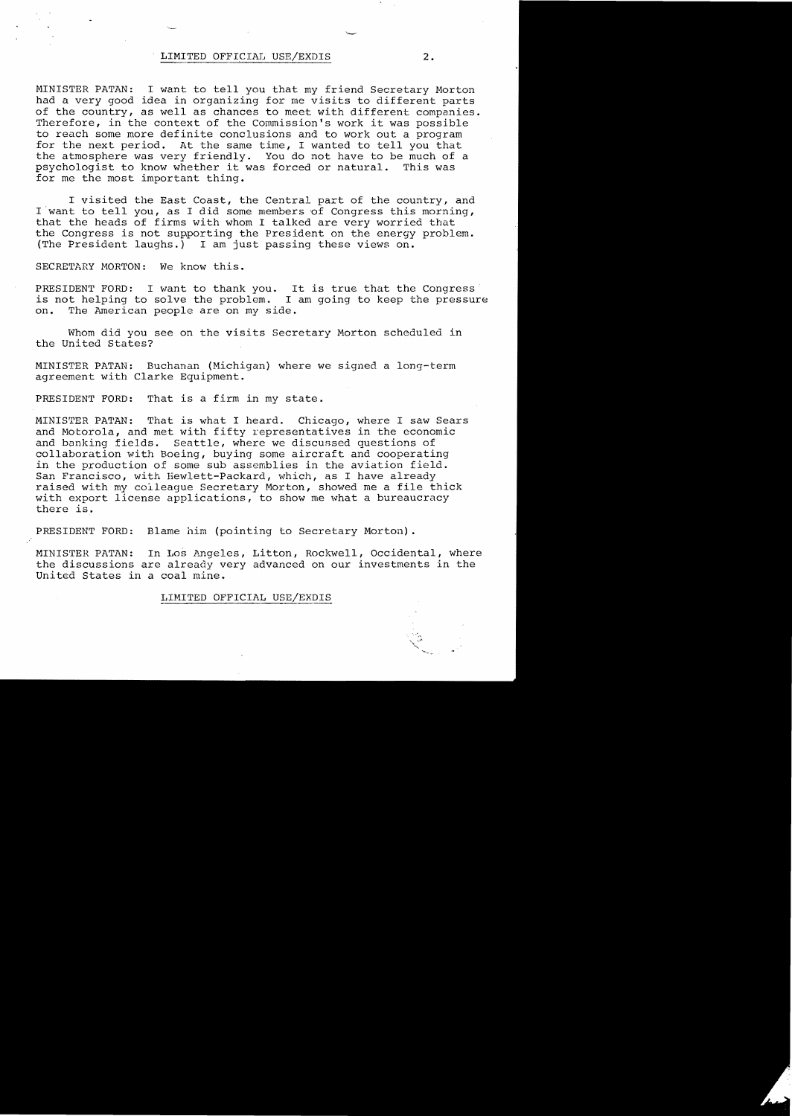## LIMITED OFFICIAl, USE/EXDIS **2.**

MINISTER PATAN: I want to tell you that my friend Secretary Morton had a very good idea in organizing for me visits to different parts of the country, as well as chances to meet with different companies. Therefore, in the context of the Commission's work it was possible to reach some more definite conclusions and to work out a program for the next period. At the same time, I wanted to tell you that the atmosphere was very friendly. You do not have to be much of a<br>psychologist to know whether it was forced or natural. This was psychologist to know whether it was forced or natural. for me the most important thing.

I visited the East Coast, the Central part of the country, and I want to tell you, as I did some members of Congress this morning, that the heads of firms with whom I talked are very worried that the Congress is not supporting the President on the energy problem. (The President laughs.) I am just passing these views on.

SECRETARY MORTON: We know this.

PRESIDENT FORD: I want to thank you. It is true that the Congress' is not helping to solve the problem. I am going to keep the pressure on. The American people are on my side.

Whom did you see on the visits Secretary Morton scheduled in the United States?

MINISTER PATAN: Buchanan (Michigan) where we signed a long-term agreement with Clarke Equipment.

PRESIDENT FORD: That is a firm in my state.

MINISTER PATAN: That is what I heard. Chicago, where I saw Sears and Motorola, and met with fifty representatives in the economic and banking fields. Seattle, where we discussed questions of collaboration with Boeing, buying some aircraft and cooperating in the production of some sub assemblies in the aviation field. San Francisco, with Hewlett-Packard, which, as I have already raised with my colleague Secretary Morton, showed me a file thick with export license applications, to show me what a bureaucracy there is.

PRESIDENT FORD: Blame him (pointing to Secretary Morton) .

MINISTER PATAN: In Los Angeles, Litton, Rockwell, Occidental, where the discussions are already very advanced on our investments in the United States in a coal mine.

#### LIMITED OFFICIAL USE/EXDIS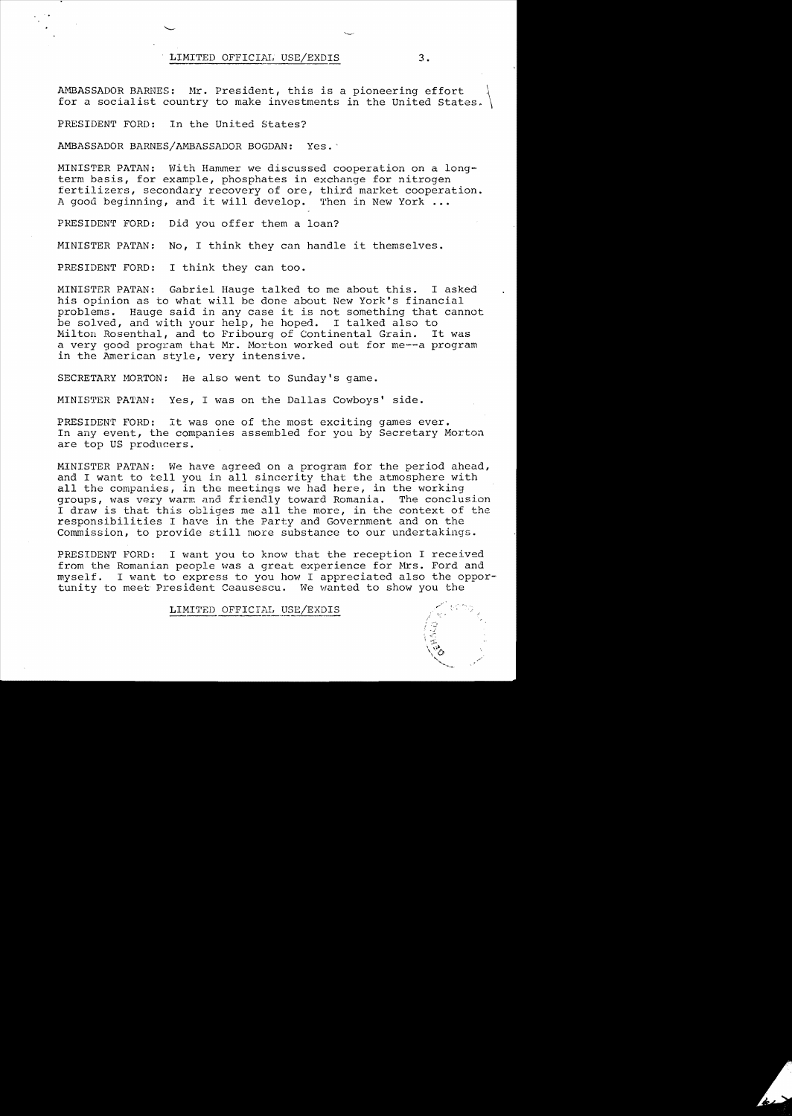LIMITED OFFICIAL USE/EXDIS 3.

AMBASSADOR BARNES: Mr. President, this is a pioneering effort for a socialist country to make investments in the United States.

PRESIDENT FORD: In the United States?

AMBASSADOR BARNES/AMBASSADOR BOGDAN: Yes.'

MINISTER PATAN: With Hammer we discussed cooperation on a longterm basis, for example, phosphates in exchange for nitrogen fertilizers, secondary recovery of ore, third market cooperation. A good beginning, and it will develop. Then in New York **.••** 

PRESIDENT FORD: Did you offer them a loan?

MINISTER PATAN: **No, I** think they can handle it themselves.

PRESIDENT FORD: I think they can too.

MINISTER PATAN: Gabriel Hauge talked to me about this. I asked his opinion as to what will be done about New York's financial problems. Hauge said in any case it is not something that cannot be solved, and with your help, he hoped. I talked also to<br>Milton Rosenthal, and to Fribourg of Continental Grain. It was Milton Rosenthal, and to Fribourg of Continental Grain. a very good program that Mr. Horton worked out for me--a program in the American style, very intensive.

SECRETARY MORTON: He also went to Sunday's game.

MINISTER PATAN: Yes, I was on the Dallas Cowboys' side.

PRESIDENT FORD: It was one of the most exciting games ever. In any event, the companies assembled for you by Secretary Morton are top US producers.

MINISTER PATAN: We have agreed on a program for the period ahead, and I want to tell you in all sincerity that the atmosphere with all the companies, in the meetings we had here, in the working<br>groups, was very warm and friendly toward Romania. The conclusion groups, was very warm and friendly toward Romania. I draw is that this obliges me all the more, in the context of the responsibilities I have in the Party and Government and on the Commission, to provide still more substance to our undertakings.

PRESIDENT FORD: I want you to know that the reception I received from the Romanian people was a great experience for Mrs. Ford and myself. I want to express to you how I appreciated also the oppor tunity to meet President Ceausescu. We wanted to show you the

LIMITED OFFICIAL USE/EXDIS

 $\int \mathcal{Q}_\epsilon$ , ...("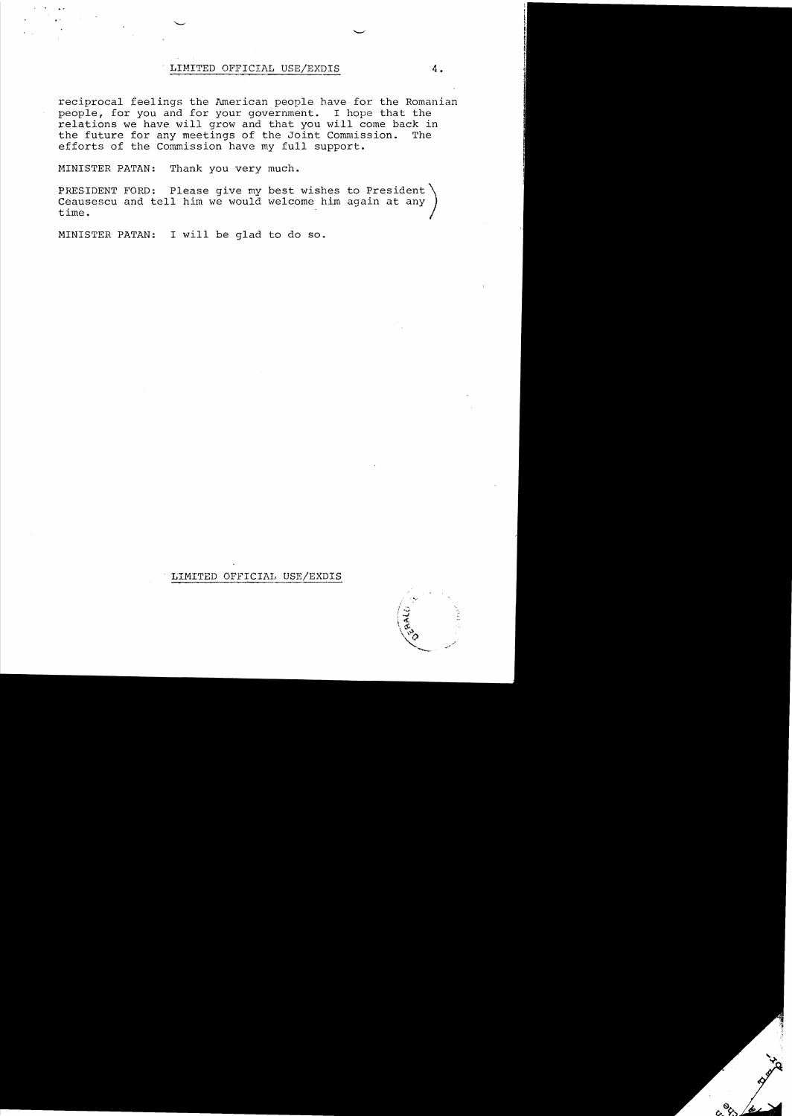## LrMITED OFFICIAL USE/EXDIS **4.**

reciprocal feelings the American people have for the Romanian people, for you and for your government. I hope that the relations we have will grow and that you will come back in the future for any meetings of the Joint Commission. The the future for any meetings of the Joint Commission. efforts of the Commission have my full support.

MINISTER PATAN: Thank you very much.

PRESIDENT FORD: Please give my best wishes to President Ceausescu and tell him we would welcome him again at any time.

MINISTER PATAN: I will be glad to do so.

## LIMITED OFFICIAL USE/EXDIS

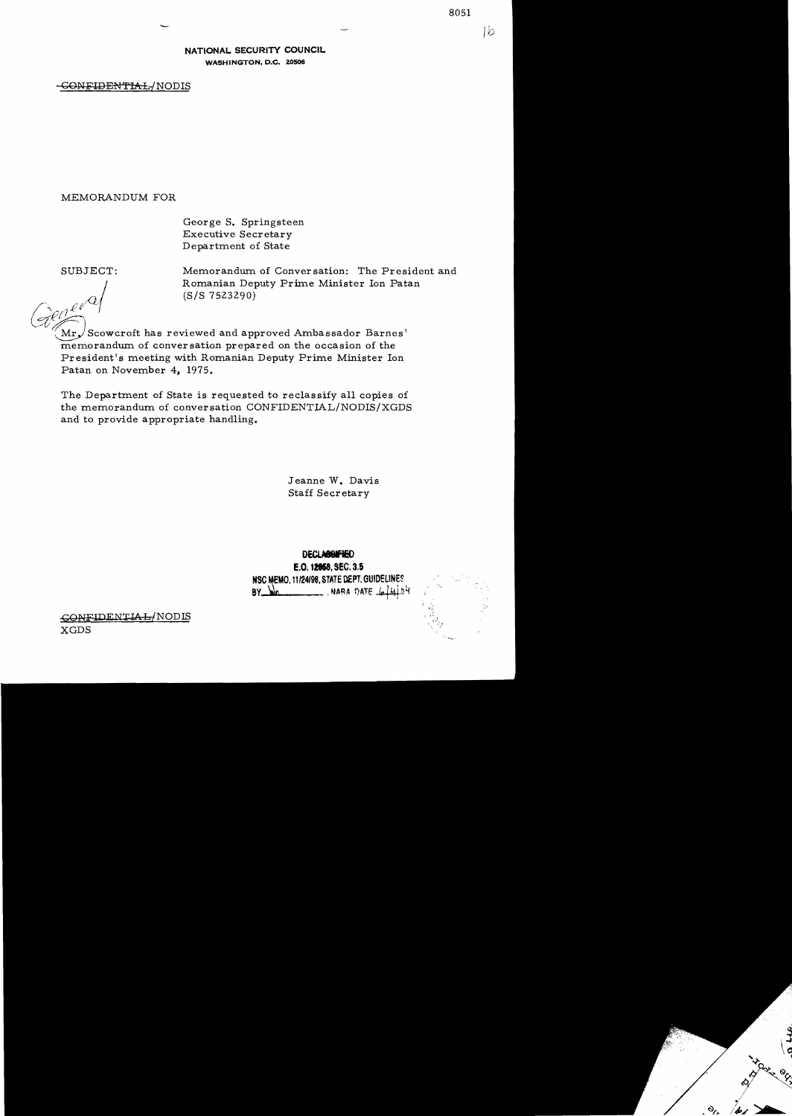Ιb

NATIONAL SECURITY COUNCIL WASHINGTON, D.C. 20506

-GONFIDENTIAL/NODIS

MEMORANDUM FOR

Geor ge S. Springsteen Executive Secretary Department of State

SUBJECT: Memorandum of Conver sation: The President and Romanian Deputy Prime Minister Ion Patan (S/S 7523290)

 $Cl(\rightarrow)$  $Mr\sqrt{S}$ cowcroft has reviewed and approved Ambassador Barnes' memorandum of conversation prepared on the occasion of the President's meeting with Romanian Deputy Prime Minister Ion Patan on November 4, 1975.

The Department of State is requested to reclassify all copies of the memorandum of conversation CONFIDENTIAL/NODIS/XGDS and to provide appropriate handling.

> Jeanne W. Davis Staff Secretary

DECLASSIFIED E.O. 12858, SEC. 3.5 NSC MEMO. 11/24/98. STATE DEPT. GUIDELINES  $BY$   $Mn$  . WARA DATE  $444.54$ 



GONFIDENTIAL/NODIS XGDS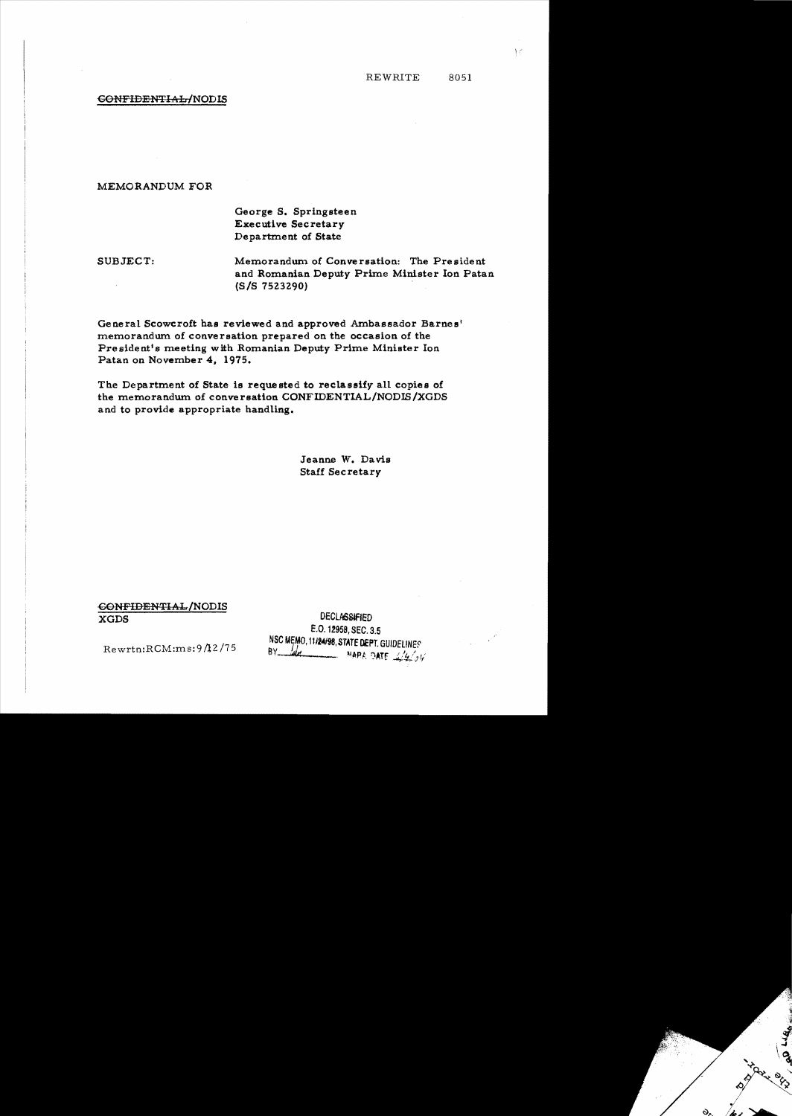## CONFIDENTIAL/NODIS

## MEMORANDUM FOR

George S. Springsteen **Executive Secretary** Department of State

SUBJECT:

Memorandum of Conversation: The President and Romanian Deputy Prime Minister Ion Patan  $(S/S 7523290)$ 

General Scowcroft has reviewed and approved Ambassador Barnes' memorandum of conversation prepared on the occasion of the President's meeting with Romanian Deputy Prime Minister Ion Patan on November 4, 1975.

The Department of State is requested to reclassify all copies of the memorandum of conversation CONFIDENTIAL/NODIS/XGDS and to provide appropriate handling.

> Jeanne W. Davis **Staff Secretary**

CONFIDENTIAL/NODIS **XGDS** 

**DECLASSIFIED** E.O. 12958, SEC. 3.5 NSC MEMO, 11/24/98, STATE DEPT. GUIDELINES BY  $\frac{1}{4}$  MAPA DATE  $\frac{1}{4}$ 

 $Rewrtn:RCM:ms:9/12/75$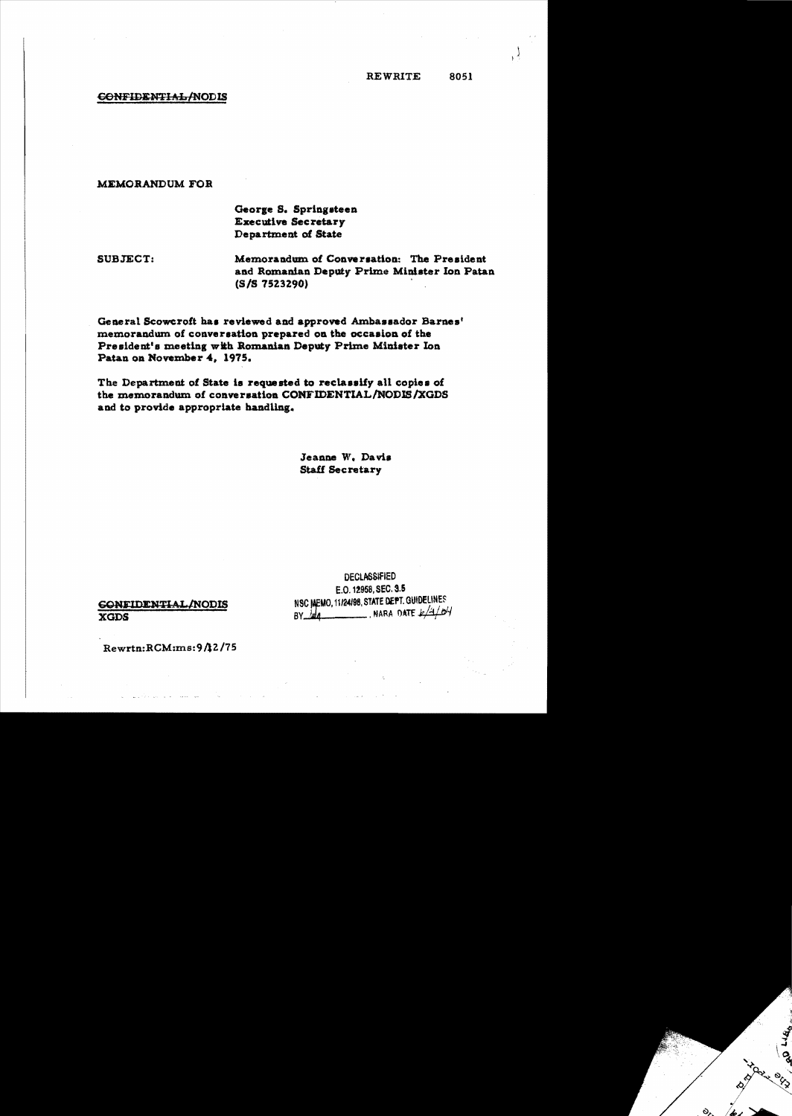**REWRITE** 8051

# CONFIDENTIAL/NODIS

#### MEMORANDUM FOR

# George S. Springsteen **Executive Secretary** Department of State

SUBJECT:

Memorandum of Conversation: The President and Romanian Deputy Prime Minister Ion Patan (S/S 7523290)

General Scowcroft has reviewed and approved Ambassador Barnes' memorandum of conversation prepared on the occasion of the President's meeting with Romanian Deputy Prime Minister Ion Patan on November 4, 1975.

The Department of State is requested to reclassify all copies of the memorandum of conversation CONFIDENTIAL/NODIS/XGDS and to provide appropriate handling.

> Jeanne W. Davis **Staff Secretary**

**GONFIDENTIAL/NODIS XGDS** 

**DECLASSIFIED** E.O. 12958, SEC. 3.5 NSC MEMO, 11/24/98, STATE DEPT. GUIDELINES  $BY$  and  $M = 1/4/1/1/1$ 

Rewrtn:RCM:ms:9/12/75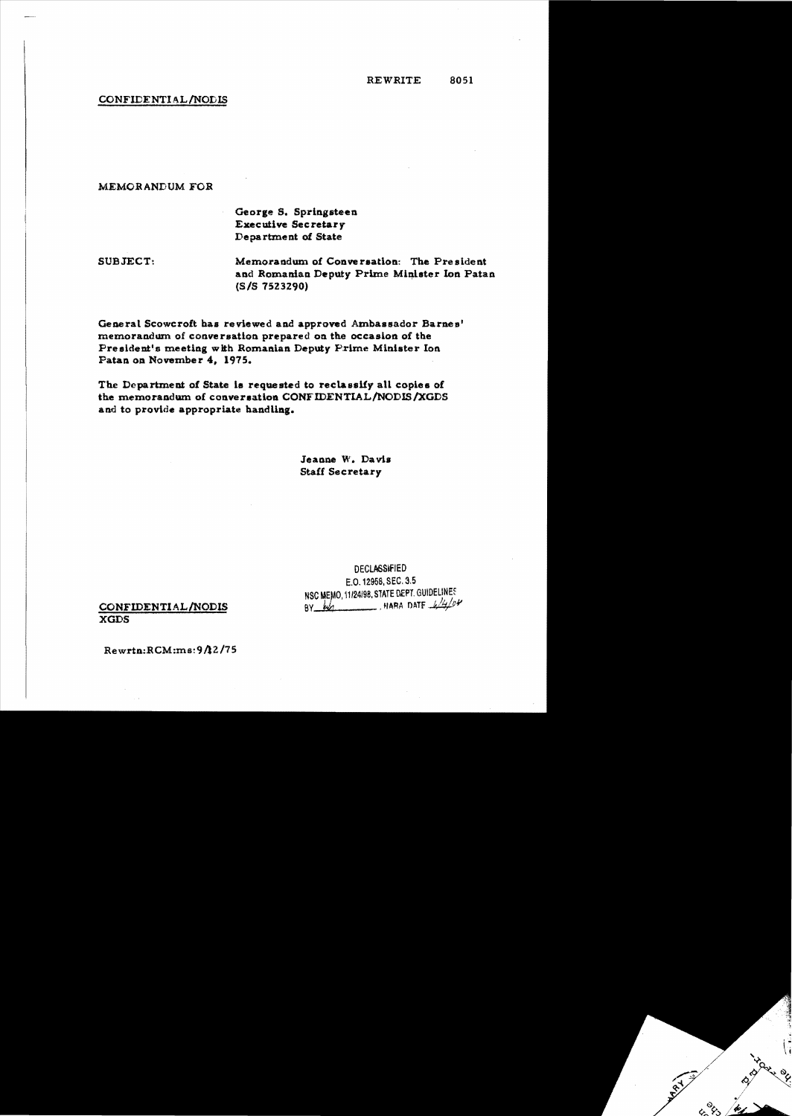## CONFlDENTIAL/NODIS

## MEMORANDUM FOB

# George S. Springsteen Executive Secretary Department of State

SUBJECT: Memorandum of Conversation: The President and Romanian Deputy Prime Minister Ion Patan.  $(S/S 7523290)$ 

General Scowcroft has reviewed and approved Ambassador Barnes' memorandum of conversation prepared on the occasion of the President's meeting with Romanian Deputy Prime Minister Ion Patan on November 4, 1975.

The Department of State is requested to reclassify all copies of the memorandum of conversation CONFIDENTIAL/NODIS/XGDS and to provide appropriate handling.

> Jeanne W.. Davis Staff Secretary

DECLASSifIED E.O. 12958, SEC. 3.5 NSC MEMO, 11/24/98. STATE DEPT. GUIDELINES CONFIDENTIAL/NODIS  $\frac{6y}{w}$  when  $\frac{k}{4}$ 

XGDS

Rewria:RCM:ms:*9112/7*5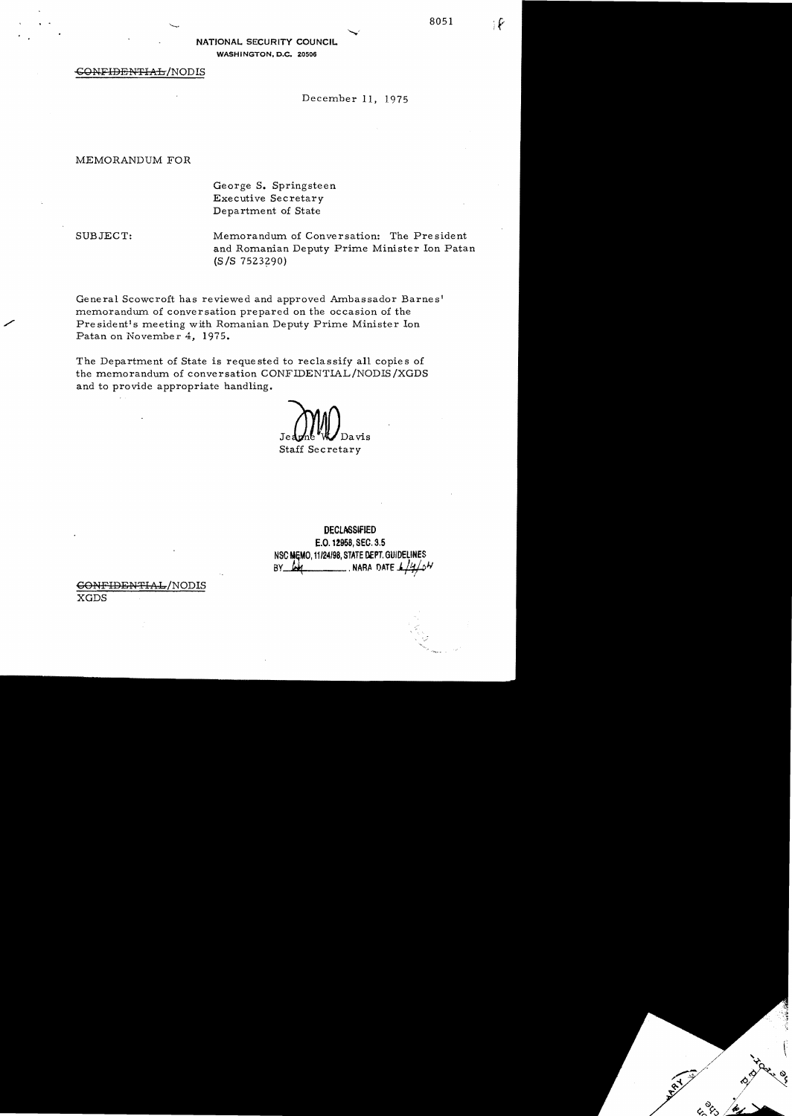8051

₽

NATIONAL SECURITY COUNCIL WASHINGTON, D.C. 20506

#### $\overline{\text{COMFIPERFFIAL}}/\text{NODIS}$

December 11, 1975

#### MEMORANDUM FOR

George S. Springsteen Executive Secretary Department of State

SUBJECT: Memorandum of Conversation: The President and Romanian Deputy Prime Minister Ion Patan  $(S/S 7523290)$ 

General Scowcroft has reviewed and approved Ambassador Barnes<sup>l</sup> memorandum of conversation prepared on the occasion of the President's meeting with Romanian Deputy Prime Minister Ion Patan on November 4, 1975.

The Department of State is reque sted to reclassify all copie s of the memorandum of conversation CONFIDENTIAL/NODIS/XGDS and to provide appropriate handling.

Davis Jed Staff Secretary

DECLASSIfIED E.O. 12958, SEC. 3.5 NSC MEMO, 11/24/98, STATE DEPT. GUIDELINES BY  $\frac{M}{M}$ . NARA DATE  $\frac{1}{4}$ 

## GONFIDENTIAL/NODIS

XGDS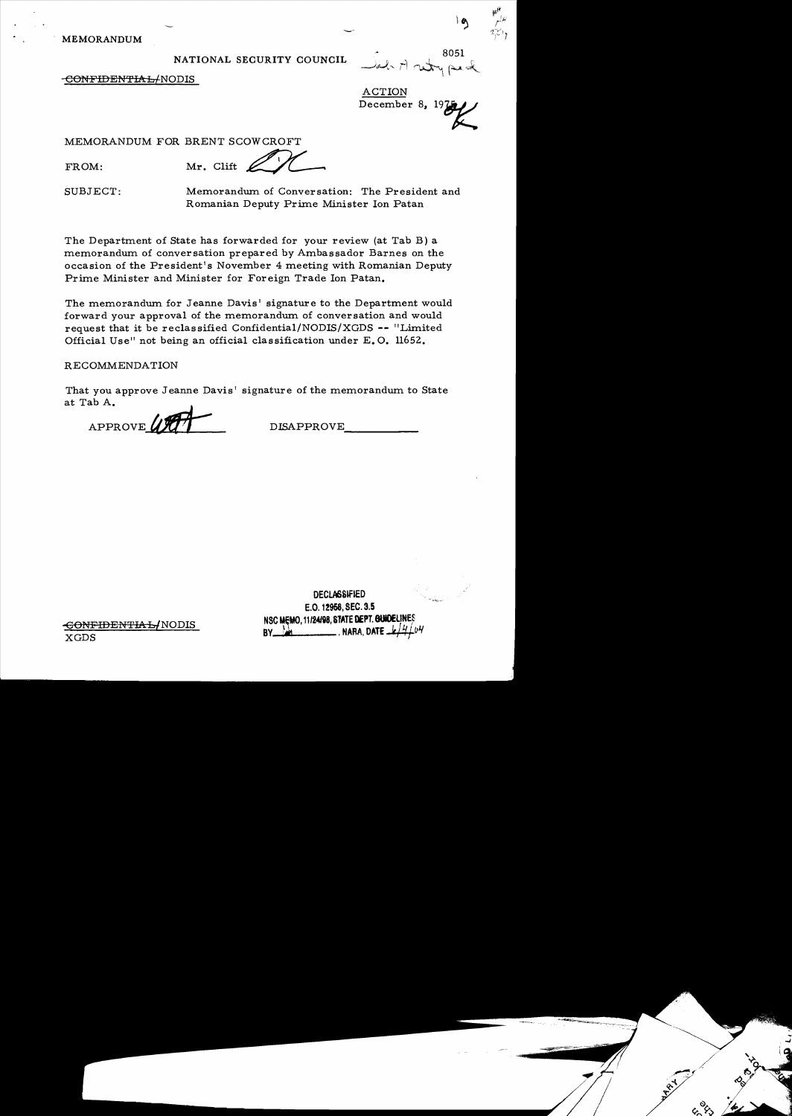MEMORANDUM

# NATIONAL SECURITY COUNCIL

8051  $\mathfrak{g}$  . The set of  $\mathfrak{g}$  is the set of  $\mathfrak{g}$ - dal Arutry peal

 $\mathfrak{g}$ 

-CONFIDENTIAb{NODIS

ACTION December 8,  $19\frac{1}{2}$ 

MEMORANDUM FOR BRENT SCOWCROFT

FROM:

Mr. Clift

SUBJECT: Memorandum. of Conversation: The President and Romanian Deputy Prime Minister Ion Patan

The Department of State has forwarded for your review (at Tab B) a memorandum of conversation prepared by Ambassador Barnes on the occasion of the President's November 4 meeting with Romanian Deputy Prime Minister and Minister for Foreign Trade Ion Patan.

The memorandum for Jeanne Davis' signature to the Department would forward your approval of the memorandum of conversation and would request that it be reclassified Confidential/NODIS/XGDS -- "Limited Official Use" not being an official classification under E. O. 11652.

# RECOMMENDATION

That you approve Jeanne Davis' signature of the memorandum to State at Tab A.

APPROVE

DISAPPROVE\_\_\_\_\_\_

**DECLASSIFIED** E.O. 12958. SEC. 3.5 NSC MEMO, 11/24/98, STATE DEPT. GUIDELINES  $BY$   $\rightarrow$   $M$   $\rightarrow$   $M$ . NARA, DAT

-€ONFiDENTIA§lNODIS XGDS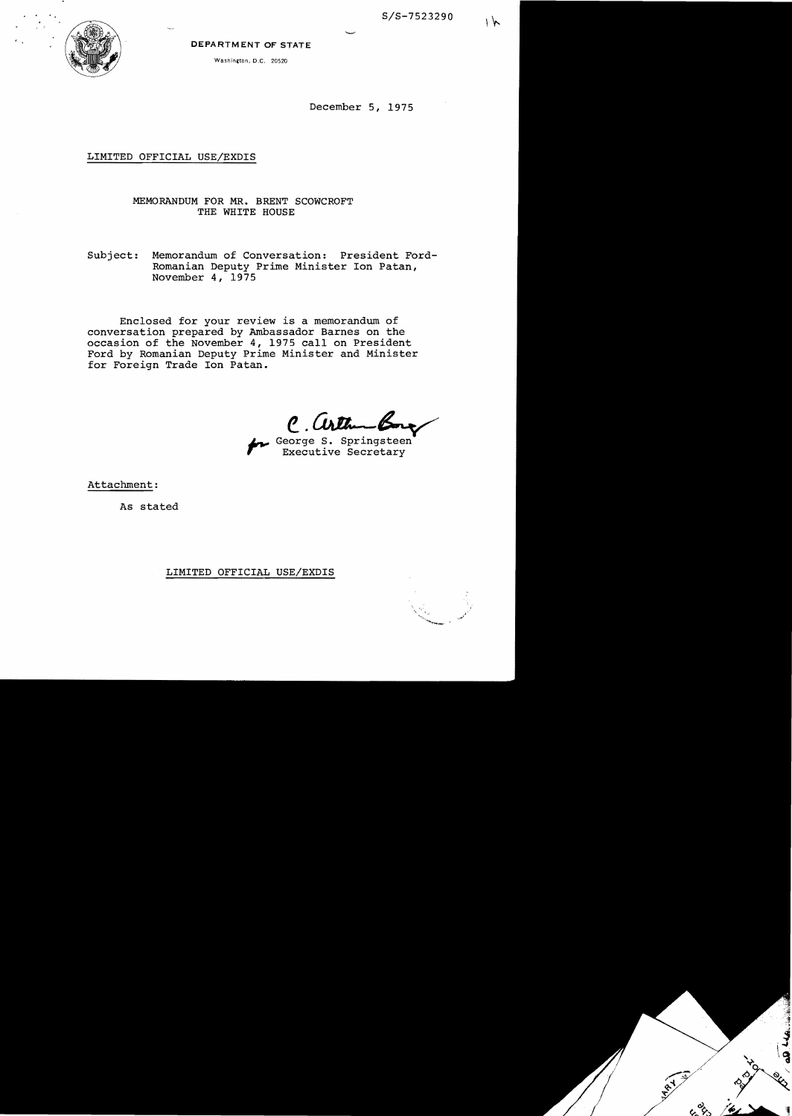S/S-7523290



#### DEPARTMENT **OF** STATE

Washington, D.C. 20520

December 5, 1975

## LIMITED OFFICIAL USE/EXDIS

# MEMORANDUM FOR MR. BRENT SCOWCROFT THE WHITE HOUSE

Subject: Memorandum of Conversation: President Ford-Romanian Deputy Prime Minister Ion Patan, November 4, 1975

Enclosed for your review is a memorandum of conversation prepared by Ambassador Barnes on the occasion of the November 4, 1975 calIon President Ford by Romanian Deputy Prime Minister and Minister for Foreign Trade Ion Patan.

*e. Culture Bone* 

Executive Secretary

Attachment:

As stated

#### LIMITED OFFICIAL USE/EXDIS